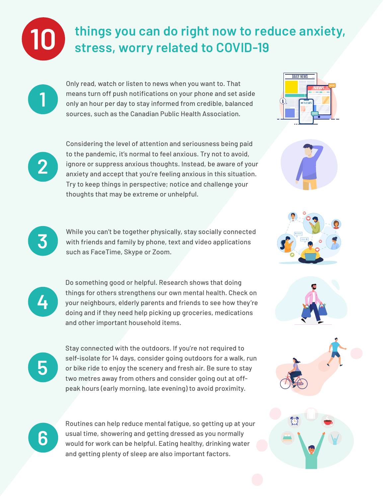

**1**

**2**

**4**

## **things you can do right now to reduce anxiety, 10 stress, worry related to COVID-19**

Only read, watch or listen to news when you want to. That means turn off push notifications on your phone and set aside only an hour per day to stay informed from credible, balanced sources, such as the Canadian Public Health Association.

Considering the level of attention and seriousness being paid to the pandemic, it's normal to feel anxious. Try not to avoid, ignore or suppress anxious thoughts. Instead, be aware of your anxiety and accept that you're feeling anxious in this situation. Try to keep things in perspective; notice and challenge your thoughts that may be extreme or unhelpful.





**5**

Stay connected with the outdoors. If you're not required to self-isolate for 14 days, consider going outdoors for a walk, run or bike ride to enjoy the scenery and fresh air. Be sure to stay two metres away from others and consider going out at offpeak hours (early morning, late evening) to avoid proximity.



Routines can help reduce mental fatigue, so getting up at your usual time, showering and getting dressed as you normally would for work can be helpful. Eating healthy, drinking water and getting plenty of sleep are also important factors.